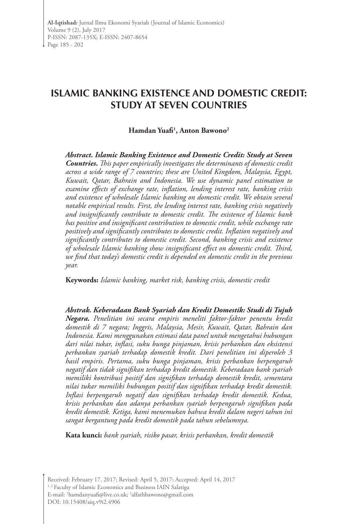# **ISLAMIC BANKING EXISTENCE AND DOMESTIC CREDIT: STUDY AT SEVEN COUNTRIES**

# **Hamdan Yuafi1 , Anton Bawono2**

*Abstract. Islamic Banking Existence and Domestic Credit: Study at Seven Countries***.** *This paper empirically investigates the determinants of domestic credit across a wide range of 7 countries; these are United Kingdom, Malaysia, Egypt, Kuwait, Qatar, Bahrain and Indonesia. We use dynamic panel estimation to examine effects of exchange rate, inflation, lending interest rate, banking crisis and existence of wholesale Islamic banking on domestic credit. We obtain several notable empirical results. First, the lending interest rate, banking crisis negatively and insignificantly contribute to domestic credit. The existence of Islamic bank has positive and insignificant contribution to domestic credit, while exchange rate positively and significantly contributes to domestic credit. Inflation negatively and significantly contributes to domestic credit. Second, banking crisis and existence of wholesale Islamic banking show insignificant effect on domestic credit. Third, we find that today's domestic credit is depended on domestic credit in the previous year.*

**Keywords:** *Islamic banking, market risk, banking crisis, domestic credit*

*Abstrak. Keberadaan Bank Syariah dan Kredit Domestik: Studi di Tujuh Negara. Penelitian ini secara empiris meneliti faktor-faktor penentu kredit domestik di 7 negara; Inggris, Malaysia, Mesir, Kuwait, Qatar, Bahrain dan Indonesia. Kami menggunakan estimasi data panel untuk mengetahui hubungan dari nilai tukar, inflasi, suku bunga pinjaman, krisis perbankan dan eksistensi perbankan syariah terhadap domestik kredit. Dari penelitian ini diperoleh 3 hasil empiris. Pertama, suku bunga pinjaman, krisis perbankan berpengaruh negatif dan tidak signifikan terhadap kredit domestik. Keberadaan bank syariah memiliki kontribusi positif dan signifikan terhadap domestik kredit, sementara nilai tukar memiliki hubungan positif dan signifikan terhadap kredit domestik. Inflasi berpengaruh negatif dan signifikan terhadap kredit domestik. Kedua, krisis perbankan dan adanya perbankan syariah berpengaruh signifikan pada kredit domestik. Ketiga, kami menemukan bahwa kredit dalam negeri tahun ini sangat bergantung pada kredit domestik pada tahun sebelumnya.*

**Kata kunci:** *bank syariah, risiko pasar, krisis perbankan, kredit domestik* 

Received: February 17, 2017; Revised: April 5, 2017; Accepted: April 14, 2017 <sup>1, 2</sup> Faculty of Islamic Economics and Business IAIN Salatiga E-mail: 'hamdanyuafi@live.co.uk; <sup>2</sup>alfathbawono@gmail.com DOI: 10.15408/aiq.v9i2.4906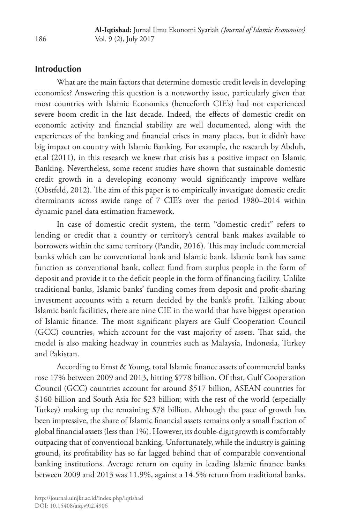## **Introduction**

What are the main factors that determine domestic credit levels in developing economies? Answering this question is a noteworthy issue, particularly given that most countries with Islamic Economics (henceforth CIE's) had not experienced severe boom credit in the last decade. Indeed, the effects of domestic credit on economic activity and financial stability are well documented, along with the experiences of the banking and financial crises in many places, but it didn't have big impact on country with Islamic Banking. For example, the research by Abduh, et.al (2011), in this research we knew that crisis has a positive impact on Islamic Banking. Nevertheless, some recent studies have shown that sustainable domestic credit growth in a developing economy would significantly improve welfare (Obstfeld, 2012). The aim of this paper is to empirically investigate domestic credit dterminants across awide range of 7 CIE's over the period 1980–2014 within dynamic panel data estimation framework.

In case of domestic credit system, the term "domestic credit" refers to lending or credit that a country or territory's central bank makes available to borrowers within the same territory (Pandit, 2016). This may include commercial banks which can be conventional bank and Islamic bank. Islamic bank has same function as conventional bank, collect fund from surplus people in the form of deposit and provide it to the deficit people in the form of financing facility. Unlike traditional banks, Islamic banks' funding comes from deposit and profit-sharing investment accounts with a return decided by the bank's profit. Talking about Islamic bank facilities, there are nine CIE in the world that have biggest operation of Islamic finance. The most significant players are Gulf Cooperation Council (GCC) countries, which account for the vast majority of assets. That said, the model is also making headway in countries such as Malaysia, Indonesia, Turkey and Pakistan.

According to Ernst & Young, total Islamic finance assets of commercial banks rose 17% between 2009 and 2013, hitting \$778 billion. Of that, Gulf Cooperation Council (GCC) countries account for around \$517 billion, ASEAN countries for \$160 billion and South Asia for \$23 billion; with the rest of the world (especially Turkey) making up the remaining \$78 billion. Although the pace of growth has been impressive, the share of Islamic financial assets remains only a small fraction of global financial assets (less than 1%). However, its double-digit growth is comfortably outpacing that of conventional banking. Unfortunately, while the industry is gaining ground, its profitability has so far lagged behind that of comparable conventional banking institutions. Average return on equity in leading Islamic finance banks between 2009 and 2013 was 11.9%, against a 14.5% return from traditional banks.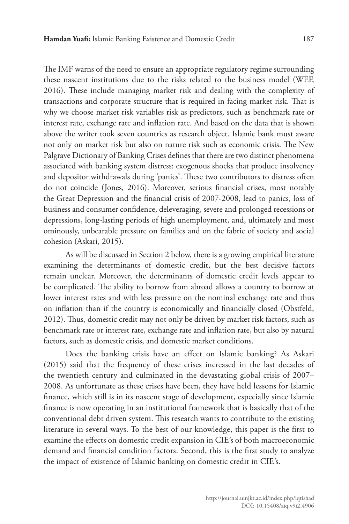The IMF warns of the need to ensure an appropriate regulatory regime surrounding these nascent institutions due to the risks related to the business model (WEF, 2016). These include managing market risk and dealing with the complexity of transactions and corporate structure that is required in facing market risk. That is why we choose market risk variables risk as predictors, such as benchmark rate or interest rate, exchange rate and inflation rate. And based on the data that is shown above the writer took seven countries as research object. Islamic bank must aware not only on market risk but also on nature risk such as economic crisis. The New Palgrave Dictionary of Banking Crises defines that there are two distinct phenomena associated with banking system distress: exogenous shocks that produce insolvency and depositor withdrawals during 'panics'. These two contributors to distress often do not coincide (Jones, 2016). Moreover, serious financial crises, most notably the Great Depression and the financial crisis of 2007-2008, lead to panics, loss of business and consumer confidence, deleveraging, severe and prolonged recessions or depressions, long-lasting periods of high unemployment, and, ultimately and most ominously, unbearable pressure on families and on the fabric of society and social cohesion (Askari, 2015).

As will be discussed in Section 2 below, there is a growing empirical literature examining the determinants of domestic credit, but the best decisive factors remain unclear. Moreover, the determinants of domestic credit levels appear to be complicated. The ability to borrow from abroad allows a country to borrow at lower interest rates and with less pressure on the nominal exchange rate and thus on inflation than if the country is economically and financially closed (Obstfeld, 2012). Thus, domestic credit may not only be driven by market risk factors, such as benchmark rate or interest rate, exchange rate and inflation rate, but also by natural factors, such as domestic crisis, and domestic market conditions.

Does the banking crisis have an effect on Islamic banking? As Askari (2015) said that the frequency of these crises increased in the last decades of the twentieth century and culminated in the devastating global crisis of 2007– 2008. As unfortunate as these crises have been, they have held lessons for Islamic finance, which still is in its nascent stage of development, especially since Islamic finance is now operating in an institutional framework that is basically that of the conventional debt driven system. This research wants to contribute to the existing literature in several ways. To the best of our knowledge, this paper is the first to examine the effects on domestic credit expansion in CIE's of both macroeconomic demand and financial condition factors. Second, this is the first study to analyze the impact of existence of Islamic banking on domestic credit in CIE's.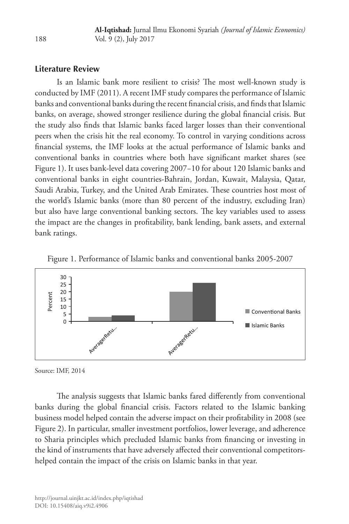# **Literature Review**

Is an Islamic bank more resilient to crisis? The most well-known study is conducted by IMF (2011). A recent IMF study compares the performance of Islamic banks and conventional banks during the recent financial crisis, and finds that Islamic banks, on average, showed stronger resilience during the global financial crisis. But the study also finds that Islamic banks faced larger losses than their conventional peers when the crisis hit the real economy. To control in varying conditions across financial systems, the IMF looks at the actual performance of Islamic banks and conventional banks in countries where both have significant market shares (see Figure 1). It uses bank-level data covering 2007−10 for about 120 Islamic banks and conventional banks in eight countries-Bahrain, Jordan, Kuwait, Malaysia, Qatar, Saudi Arabia, Turkey, and the United Arab Emirates. These countries host most of the world's Islamic banks (more than 80 percent of the industry, excluding Iran) but also have large conventional banking sectors. The key variables used to assess the impact are the changes in profitability, bank lending, bank assets, and external bank ratings.





Source: IMF, 2014

The analysis suggests that Islamic banks fared differently from conventional banks during the global financial crisis. Factors related to the Islamic banking business model helped contain the adverse impact on their profitability in 2008 (see Figure 2). In particular, smaller investment portfolios, lower leverage, and adherence to Sharia principles which precluded Islamic banks from financing or investing in the kind of instruments that have adversely affected their conventional competitorshelped contain the impact of the crisis on Islamic banks in that year.

188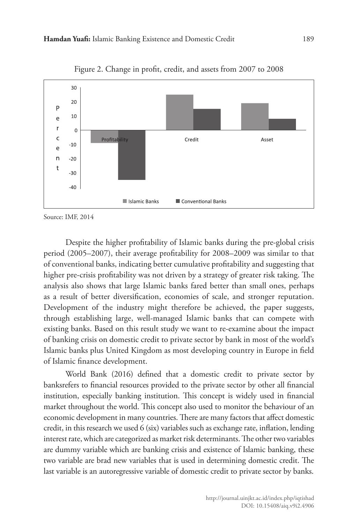

Figure 2. Change in profit, credit, and assets from 2007 to 2008

Source: IMF, 2014

Despite the higher profitability of Islamic banks during the pre-global crisis period (2005–2007), their average profitability for 2008–2009 was similar to that of conventional banks, indicating better cumulative profitability and suggesting that higher pre-crisis profitability was not driven by a strategy of greater risk taking. The analysis also shows that large Islamic banks fared better than small ones, perhaps as a result of better diversification, economies of scale, and stronger reputation. Development of the industry might therefore be achieved, the paper suggests, through establishing large, well-managed Islamic banks that can compete with existing banks. Based on this result study we want to re-examine about the impact of banking crisis on domestic credit to private sector by bank in most of the world's Islamic banks plus United Kingdom as most developing country in Europe in field of Islamic finance development.

World Bank (2016) defined that a domestic credit to private sector by banksrefers to financial resources provided to the private sector by other all financial institution, especially banking institution. This concept is widely used in financial market throughout the world. This concept also used to monitor the behaviour of an economic development in many countries. There are many factors that affect domestic credit, in this research we used 6 (six) variables such as exchange rate, inflation, lending interest rate, which are categorized as market risk determinants. The other two variables are dummy variable which are banking crisis and existence of Islamic banking, these two variable are brad new variables that is used in determining domestic credit. The last variable is an autoregressive variable of domestic credit to private sector by banks.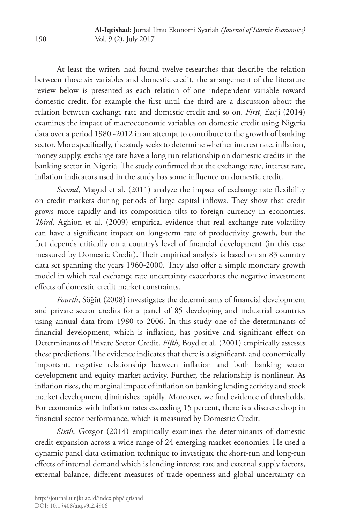At least the writers had found twelve researches that describe the relation between those six variables and domestic credit, the arrangement of the literature review below is presented as each relation of one independent variable toward domestic credit, for example the first until the third are a discussion about the relation between exchange rate and domestic credit and so on. *First*, Ezeji (2014) examines the impact of macroeconomic variables on domestic credit using Nigeria data over a period 1980 -2012 in an attempt to contribute to the growth of banking sector. More specifically, the study seeks to determine whether interest rate, inflation, money supply, exchange rate have a long run relationship on domestic credits in the banking sector in Nigeria. The study confirmed that the exchange rate, interest rate, inflation indicators used in the study has some influence on domestic credit.

*Second*, Magud et al. (2011) analyze the impact of exchange rate flexibility on credit markets during periods of large capital inflows. They show that credit grows more rapidly and its composition tilts to foreign currency in economies. *Third*, Aghion et al. (2009) empirical evidence that real exchange rate volatility can have a significant impact on long-term rate of productivity growth, but the fact depends critically on a country's level of financial development (in this case measured by Domestic Credit). Their empirical analysis is based on an 83 country data set spanning the years 1960-2000. They also offer a simple monetary growth model in which real exchange rate uncertainty exacerbates the negative investment effects of domestic credit market constraints.

*Fourth*, Söğüt (2008) investigates the determinants of financial development and private sector credits for a panel of 85 developing and industrial countries using annual data from 1980 to 2006. In this study one of the determinants of financial development, which is inflation, has positive and significant effect on Determinants of Private Sector Credit. *Fifth*, Boyd et al. (2001) empirically assesses these predictions. The evidence indicates that there is a significant, and economically important, negative relationship between inflation and both banking sector development and equity market activity. Further, the relationship is nonlinear. As inflation rises, the marginal impact of inflation on banking lending activity and stock market development diminishes rapidly. Moreover, we find evidence of thresholds. For economies with inflation rates exceeding 15 percent, there is a discrete drop in financial sector performance, which is measured by Domestic Credit.

*Sixth*, Gozgor (2014) empirically examines the determinants of domestic credit expansion across a wide range of 24 emerging market economies. He used a dynamic panel data estimation technique to investigate the short-run and long-run effects of internal demand which is lending interest rate and external supply factors, external balance, different measures of trade openness and global uncertainty on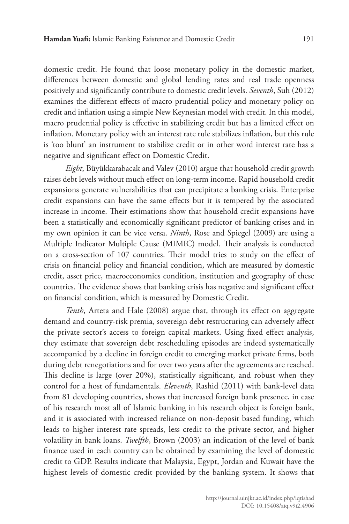domestic credit. He found that loose monetary policy in the domestic market, differences between domestic and global lending rates and real trade openness positively and significantly contribute to domestic credit levels. *Seventh*, Suh (2012) examines the different effects of macro prudential policy and monetary policy on credit and inflation using a simple New Keynesian model with credit. In this model, macro prudential policy is effective in stabilizing credit but has a limited effect on inflation. Monetary policy with an interest rate rule stabilizes inflation, but this rule is 'too blunt' an instrument to stabilize credit or in other word interest rate has a negative and significant effect on Domestic Credit.

*Eight*, Büyükkarabacak and Valev (2010) argue that household credit growth raises debt levels without much effect on long-term income. Rapid household credit expansions generate vulnerabilities that can precipitate a banking crisis. Enterprise credit expansions can have the same effects but it is tempered by the associated increase in income. Their estimations show that household credit expansions have been a statistically and economically significant predictor of banking crises and in my own opinion it can be vice versa. *Ninth*, Rose and Spiegel (2009) are using a Multiple Indicator Multiple Cause (MIMIC) model. Their analysis is conducted on a cross-section of 107 countries. Their model tries to study on the effect of crisis on financial policy and financial condition, which are measured by domestic credit, asset price, macroeconomics condition, institution and geography of these countries. The evidence shows that banking crisis has negative and significant effect on financial condition, which is measured by Domestic Credit.

*Tenth*, Arteta and Hale (2008) argue that, through its effect on aggregate demand and country-risk premia, sovereign debt restructuring can adversely affect the private sector's access to foreign capital markets. Using fixed effect analysis, they estimate that sovereign debt rescheduling episodes are indeed systematically accompanied by a decline in foreign credit to emerging market private firms, both during debt renegotiations and for over two years after the agreements are reached. This decline is large (over 20%), statistically significant, and robust when they control for a host of fundamentals. *Eleventh*, Rashid (2011) with bank-level data from 81 developing countries, shows that increased foreign bank presence, in case of his research most all of Islamic banking in his research object is foreign bank, and it is associated with increased reliance on non-deposit based funding, which leads to higher interest rate spreads, less credit to the private sector, and higher volatility in bank loans. *Twelfth*, Brown (2003) an indication of the level of bank finance used in each country can be obtained by examining the level of domestic credit to GDP. Results indicate that Malaysia, Egypt, Jordan and Kuwait have the highest levels of domestic credit provided by the banking system. It shows that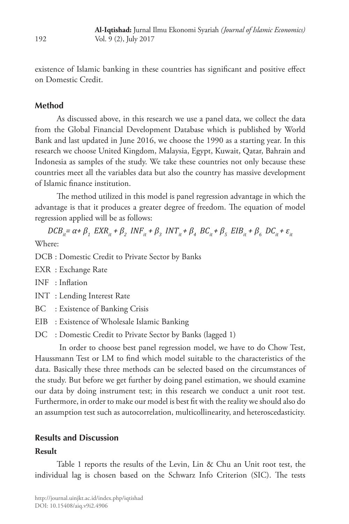existence of Islamic banking in these countries has significant and positive effect on Domestic Credit.

# **Method**

As discussed above, in this research we use a panel data, we collect the data from the Global Financial Development Database which is published by World Bank and last updated in June 2016, we choose the 1990 as a starting year. In this research we choose United Kingdom, Malaysia, Egypt, Kuwait, Qatar, Bahrain and Indonesia as samples of the study. We take these countries not only because these countries meet all the variables data but also the country has massive development of Islamic finance institution.

The method utilized in this model is panel regression advantage in which the advantage is that it produces a greater degree of freedom. The equation of model regression applied will be as follows:

 $DCB_{it} = \alpha + \beta_1 EXR_{it} + \beta_2 INF_{it} + \beta_3 INT_{it} + \beta_4 BC_{it} + \beta_5 EIB_{it} + \beta_6 DC_{it} + \varepsilon_{it}$ Where:

DCB : Domestic Credit to Private Sector by Banks

- EXR : Exchange Rate
- INF : Inflation
- INT : Lending Interest Rate
- BC : Existence of Banking Crisis
- EIB : Existence of Wholesale Islamic Banking
- DC : Domestic Credit to Private Sector by Banks (lagged 1)

 In order to choose best panel regression model, we have to do Chow Test, Haussmann Test or LM to find which model suitable to the characteristics of the data. Basically these three methods can be selected based on the circumstances of the study. But before we get further by doing panel estimation, we should examine our data by doing instrument test; in this research we conduct a unit root test. Furthermore, in order to make our model is best fit with the reality we should also do an assumption test such as autocorrelation, multicollinearity, and heteroscedasticity.

# **Results and Discussion**

#### **Result**

Table 1 reports the results of the Levin, Lin & Chu an Unit root test, the individual lag is chosen based on the Schwarz Info Criterion (SIC). The tests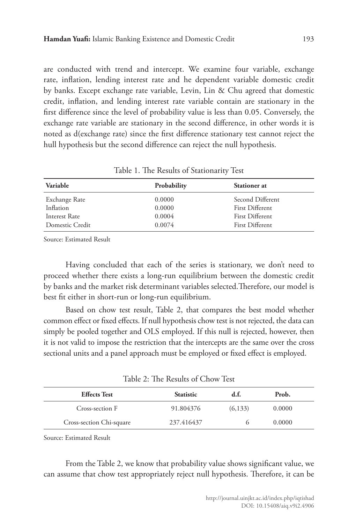are conducted with trend and intercept. We examine four variable, exchange rate, inflation, lending interest rate and he dependent variable domestic credit by banks. Except exchange rate variable, Levin, Lin & Chu agreed that domestic credit, inflation, and lending interest rate variable contain are stationary in the first difference since the level of probability value is less than 0.05. Conversely, the exchange rate variable are stationary in the second difference, in other words it is noted as d(exchange rate) since the first difference stationary test cannot reject the hull hypothesis but the second difference can reject the null hypothesis.

| Variable        | Probability | <b>Stationer</b> at |
|-----------------|-------------|---------------------|
| Exchange Rate   | 0.0000      | Second Different    |
| Inflation       | 0.0000      | First Different     |
| Interest Rate   | 0.0004      | First Different     |
| Domestic Credit | 0.0074      | First Different     |

Table 1. The Results of Stationarity Test

Source: Estimated Result

Having concluded that each of the series is stationary, we don't need to proceed whether there exists a long-run equilibrium between the domestic credit by banks and the market risk determinant variables selected.Therefore, our model is best fit either in short-run or long-run equilibrium.

Based on chow test result, Table 2, that compares the best model whether common effect or fixed effects. If null hypothesis chow test is not rejected, the data can simply be pooled together and OLS employed. If this null is rejected, however, then it is not valid to impose the restriction that the intercepts are the same over the cross sectional units and a panel approach must be employed or fixed effect is employed.

| <b>Effects Test</b>      | <b>Statistic</b> | d.t.     | Prob.  |  |
|--------------------------|------------------|----------|--------|--|
| Cross-section F          | 91.804376        | (6, 133) | 0.0000 |  |
| Cross-section Chi-square | 237.416437       |          | 0.0000 |  |

Table 2: The Results of Chow Test

Source: Estimated Result

From the Table 2, we know that probability value shows significant value, we can assume that chow test appropriately reject null hypothesis. Therefore, it can be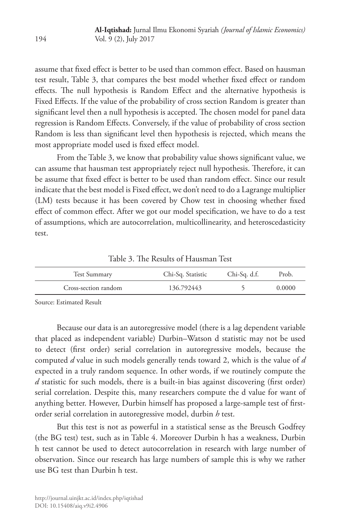assume that fixed effect is better to be used than common effect. Based on hausman test result, Table 3, that compares the best model whether fixed effect or random effects. The null hypothesis is Random Effect and the alternative hypothesis is Fixed Effects. If the value of the probability of cross section Random is greater than significant level then a null hypothesis is accepted. The chosen model for panel data regression is Random Effects. Conversely, if the value of probability of cross section Random is less than significant level then hypothesis is rejected, which means the most appropriate model used is fixed effect model.

From the Table 3, we know that probability value shows significant value, we can assume that hausman test appropriately reject null hypothesis. Therefore, it can be assume that fixed effect is better to be used than random effect. Since our result indicate that the best model is Fixed effect, we don't need to do a Lagrange multiplier (LM) tests because it has been covered by Chow test in choosing whether fixed effect of common effect. After we got our model specification, we have to do a test of assumptions, which are autocorrelation, multicollinearity, and heteroscedasticity test.

Table 3. The Results of Hausman Test

| Test Summary         | Chi-Sq. Statistic | Chi-Sq. d.f. | Prob.  |
|----------------------|-------------------|--------------|--------|
| Cross-section random | 136.792443        |              | 0.0000 |

Source: Estimated Result

Because our data is an autoregressive model (there is a lag dependent variable that placed as independent variable) Durbin–Watson d statistic may not be used to detect (first order) serial correlation in autoregressive models, because the computed *d* value in such models generally tends toward 2, which is the value of *d* expected in a truly random sequence. In other words, if we routinely compute the *d* statistic for such models, there is a built-in bias against discovering (first order) serial correlation. Despite this, many researchers compute the d value for want of anything better. However, Durbin himself has proposed a large-sample test of firstorder serial correlation in autoregressive model, durbin *h* test.

But this test is not as powerful in a statistical sense as the Breusch Godfrey (the BG test) test, such as in Table 4. Moreover Durbin h has a weakness, Durbin h test cannot be used to detect autocorrelation in research with large number of observation. Since our research has large numbers of sample this is why we rather use BG test than Durbin h test.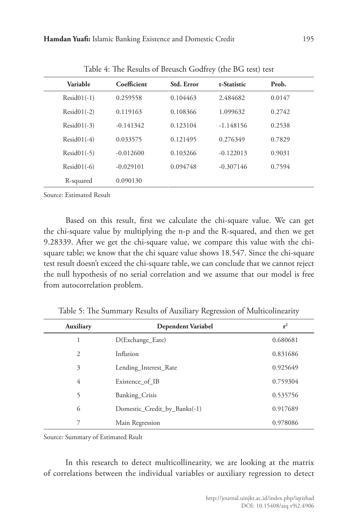| Variable      | Coefficient | <b>Std. Error</b> | t-Statistic | Prob.  |  |
|---------------|-------------|-------------------|-------------|--------|--|
| $Resid01(-1)$ | 0.259558    | 0.104463          | 2.484682    | 0.0147 |  |
| $Resid01(-2)$ | 0.119163    | 0.108366          | 1.099632    | 0.2742 |  |
| $Resid01(-3)$ | $-0.141342$ | 0.123104          | $-1.148156$ | 0.2538 |  |
| $Resid01(-4)$ | 0.033575    | 0.121495          | 0.276349    | 0.7829 |  |
| $Resid01(-5)$ | $-0.012600$ | 0.103266          | $-0.122013$ | 0.9031 |  |
| $Resid01(-6)$ | $-0.029101$ | 0.094748          | $-0.307146$ | 0.7594 |  |
| R-squared     | 0.090130    |                   |             |        |  |

Table 4: The Results of Breusch Godfrey (the BG test) test

Source: Estimated Result

Based on this result, first we calculate the chi-square value. We can get the chi-square value by multiplying the n-p and the R-squared, and then we get 9.28339. After we get the chi-square value, we compare this value with the chisquare table; we know that the chi square value shows 18.547. Since the chi-square test result doesn't exceed the chi-square table, we can conclude that we cannot reject the null hypothesis of no serial correlation and we assume that our model is free from autocorrelation problem.

| <b>Auxiliary</b> | <b>Dependent Variabel</b>    | $r^2$    |
|------------------|------------------------------|----------|
|                  | D(Exchange_Eate)             | 0.680681 |
| 2                | Inflation                    | 0.831686 |
| 3                | Lending_Interest_Rate        | 0.925649 |
| 4                | Existence of IB              | 0.759304 |
| 5                | Banking_Crisis               | 0.535756 |
| 6                | Domestic_Credit_by_Banks(-1) | 0.917689 |
| 7                | Main Regression              | 0.978086 |

Table 5: The Summary Results of Auxiliary Regression of Multicolinearity

Source: Summary of Estimated Rsult

In this research to detect multicollinearity, we are looking at the matrix of correlations between the individual variables or auxiliary regression to detect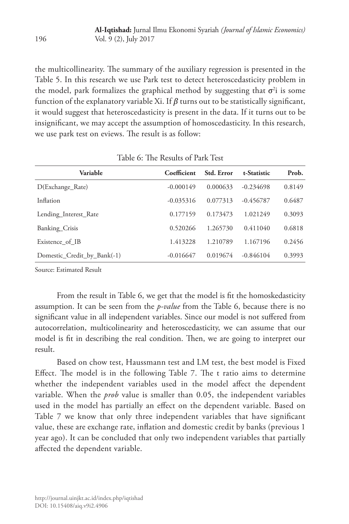the multicollinearity. The summary of the auxiliary regression is presented in the Table 5. In this research we use Park test to detect heteroscedasticity problem in the model, park formalizes the graphical method by suggesting that  $\sigma^2$  is some function of the explanatory variable Xi. If  $\beta$  turns out to be statistically significant, it would suggest that heteroscedasticity is present in the data. If it turns out to be insignificant, we may accept the assumption of homoscedasticity. In this research, we use park test on eviews. The result is as follow:

| Coefficient | Std. Error | t-Statistic | Prob.  |
|-------------|------------|-------------|--------|
| $-0.000149$ | 0.000633   | $-0.234698$ | 0.8149 |
| $-0.035316$ | 0.077313   | $-0.456787$ | 0.6487 |
| 0.177159    | 0.173473   | 1.021249    | 0.3093 |
| 0.520266    | 1.265730   | 0.411040    | 0.6818 |
| 1.413228    | 1.210789   | 1.167196    | 0.2456 |
| $-0.016647$ | 0.019674   | $-0.846104$ | 0.3993 |
|             |            |             |        |

Table 6: The Results of Park Test

Source: Estimated Result

From the result in Table 6, we get that the model is fit the homoskedasticity assumption. It can be seen from the *p-value* from the Table 6, because there is no significant value in all independent variables. Since our model is not suffered from autocorrelation, multicolinearity and heteroscedasticity, we can assume that our model is fit in describing the real condition. Then, we are going to interpret our result.

Based on chow test, Haussmann test and LM test, the best model is Fixed Effect. The model is in the following Table 7. The t ratio aims to determine whether the independent variables used in the model affect the dependent variable. When the *prob* value is smaller than 0.05, the independent variables used in the model has partially an effect on the dependent variable. Based on Table 7 we know that only three independent variables that have significant value, these are exchange rate, inflation and domestic credit by banks (previous 1 year ago). It can be concluded that only two independent variables that partially affected the dependent variable.

196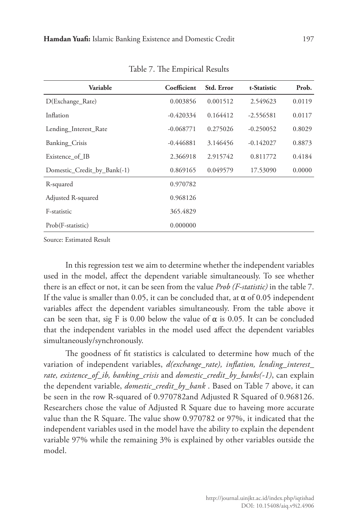| Variable                    | Coefficient | Std. Error | t-Statistic | Prob.  |
|-----------------------------|-------------|------------|-------------|--------|
| D(Exchange_Rate)            | 0.003856    | 0.001512   | 2.549623    | 0.0119 |
| Inflation                   | $-0.420334$ | 0.164412   | $-2.556581$ | 0.0117 |
| Lending_Interest_Rate       | $-0.068771$ | 0.275026   | $-0.250052$ | 0.8029 |
| Banking_Crisis              | $-0.446881$ | 3.146456   | $-0.142027$ | 0.8873 |
| Existence of IB             | 2.366918    | 2.915742   | 0.811772    | 0.4184 |
| Domestic_Credit_by_Bank(-1) | 0.869165    | 0.049579   | 17.53090    | 0.0000 |
| R-squared                   | 0.970782    |            |             |        |
| Adjusted R-squared          | 0.968126    |            |             |        |
| F-statistic                 | 365.4829    |            |             |        |
| Prob(F-statistic)           | 0.000000    |            |             |        |

Table 7. The Empirical Results

Source: Estimated Result

In this regression test we aim to determine whether the independent variables used in the model, affect the dependent variable simultaneously. To see whether there is an effect or not, it can be seen from the value *Prob (F-statistic)* in the table 7. If the value is smaller than 0.05, it can be concluded that, at  $\alpha$  of 0.05 independent variables affect the dependent variables simultaneously. From the table above it can be seen that, sig F is 0.00 below the value of  $\alpha$  is 0.05. It can be concluded that the independent variables in the model used affect the dependent variables simultaneously/synchronously.

The goodness of fit statistics is calculated to determine how much of the variation of independent variables, *d(exchange\_rate), inflation, lending\_interest\_ rate, existence\_of\_ib, banking\_crisis* and *domestic\_credit\_by\_banks(-1)*, can explain the dependent variable, *domestic\_credit\_by\_bank* . Based on Table 7 above, it can be seen in the row R-squared of 0.970782and Adjusted R Squared of 0.968126. Researchers chose the value of Adjusted R Square due to haveing more accurate value than the R Square. The value show 0.970782 or 97%, it indicated that the independent variables used in the model have the ability to explain the dependent variable 97% while the remaining 3% is explained by other variables outside the model.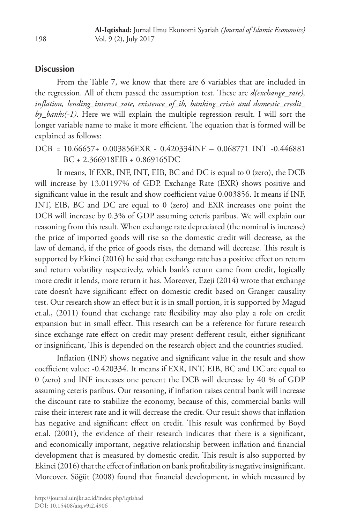#### **Discussion**

From the Table 7, we know that there are 6 variables that are included in the regression. All of them passed the assumption test. These are *d(exchange\_rate), inflation, lending\_interest\_rate, existence\_of\_ib, banking\_crisis and domestic\_credit\_ by\_banks(-1)*. Here we will explain the multiple regression result. I will sort the longer variable name to make it more efficient. The equation that is formed will be explained as follows:

# DCB = 10.66657+ 0.003856EXR - 0.420334INF – 0.068771 INT -0.446881 BC + 2.366918EIB + 0.869165DC

It means, If EXR, INF, INT, EIB, BC and DC is equal to 0 (zero), the DCB will increase by 13.01197% of GDP. Exchange Rate (EXR) shows positive and significant value in the result and show coefficient value 0.003856. It means if INF, INT, EIB, BC and DC are equal to 0 (zero) and EXR increases one point the DCB will increase by 0.3% of GDP assuming ceteris paribus. We will explain our reasoning from this result. When exchange rate depreciated (the nominal is increase) the price of imported goods will rise so the domestic credit will decrease, as the law of demand, if the price of goods rises, the demand will decrease. This result is supported by Ekinci (2016) he said that exchange rate has a positive effect on return and return volatility respectively, which bank's return came from credit, logically more credit it lends, more return it has. Moreover, Ezeji (2014) wrote that exchange rate doesn't have significant effect on domestic credit based on Granger causality test. Our research show an effect but it is in small portion, it is supported by Magud et.al., (2011) found that exchange rate flexibility may also play a role on credit expansion but in small effect. This research can be a reference for future research since exchange rate effect on credit may present defferent result, either significant or insignificant, This is depended on the research object and the countries studied.

Inflation (INF) shows negative and significant value in the result and show coefficient value: -0.420334. It means if EXR, INT, EIB, BC and DC are equal to 0 (zero) and INF increases one percent the DCB will decrease by 40 % of GDP assuming ceteris paribus. Our reasoning, if inflation raises central bank will increase the discount rate to stabilize the economy, because of this, commercial banks will raise their interest rate and it will decrease the credit. Our result shows that inflation has negative and significant effect on credit. This result was confirmed by Boyd et.al. (2001), the evidence of their research indicates that there is a significant, and economically important, negative relationship between inflation and financial development that is measured by domestic credit. This result is also supported by Ekinci (2016) that the effect of inflation on bank profitability is negative insignificant. Moreover, Söğüt (2008) found that financial development, in which measured by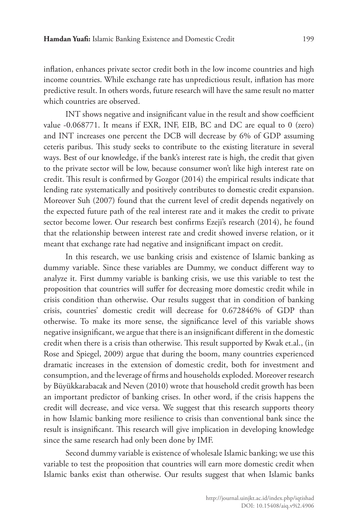inflation, enhances private sector credit both in the low income countries and high income countries. While exchange rate has unpredictious result, inflation has more predictive result. In others words, future research will have the same result no matter which countries are observed.

INT shows negative and insignificant value in the result and show coefficient value -0.068771. It means if EXR, INF, EIB, BC and DC are equal to 0 (zero) and INT increases one percent the DCB will decrease by 6% of GDP assuming ceteris paribus. This study seeks to contribute to the existing literature in several ways. Best of our knowledge, if the bank's interest rate is high, the credit that given to the private sector will be low, because consumer won't like high interest rate on credit. This result is confirmed by Gozgor (2014) the empirical results indicate that lending rate systematically and positively contributes to domestic credit expansion. Moreover Suh (2007) found that the current level of credit depends negatively on the expected future path of the real interest rate and it makes the credit to private sector become lower. Our research best confirms Ezeji's research (2014), he found that the relationship between interest rate and credit showed inverse relation, or it meant that exchange rate had negative and insignificant impact on credit.

In this research, we use banking crisis and existence of Islamic banking as dummy variable. Since these variables are Dummy, we conduct different way to analyze it. First dummy variable is banking crisis, we use this variable to test the proposition that countries will suffer for decreasing more domestic credit while in crisis condition than otherwise. Our results suggest that in condition of banking crisis, countries' domestic credit will decrease for 0.672846% of GDP than otherwise. To make its more sense, the significance level of this variable shows negative insignificant, we argue that there is an insignificant different in the domestic credit when there is a crisis than otherwise. This result supported by Kwak et.al., (in Rose and Spiegel, 2009) argue that during the boom, many countries experienced dramatic increases in the extension of domestic credit, both for investment and consumption, and the leverage of firms and households exploded. Moreover research by Büyükkarabacak and Neven (2010) wrote that household credit growth has been an important predictor of banking crises. In other word, if the crisis happens the credit will decrease, and vice versa. We suggest that this research supports theory in how Islamic banking more resilience to crisis than conventional bank since the result is insignificant. This research will give implication in developing knowledge since the same research had only been done by IMF.

Second dummy variable is existence of wholesale Islamic banking; we use this variable to test the proposition that countries will earn more domestic credit when Islamic banks exist than otherwise. Our results suggest that when Islamic banks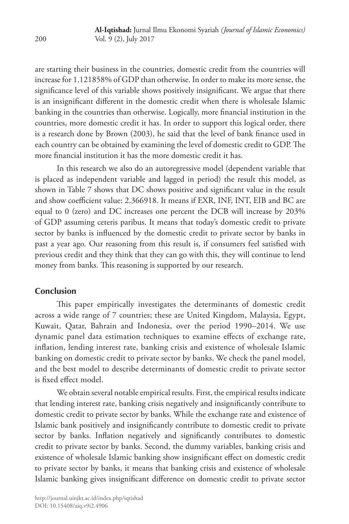are starting their business in the countries, domestic credit from the countries will increase for 1.121858% of GDP than otherwise. In order to make its more sense, the significance level of this variable shows positively insignificant. We argue that there is an insignificant different in the domestic credit when there is wholesale Islamic banking in the countries than otherwise. Logically, more financial institution in the countries, more domestic credit it has. In order to support this logical order, there is a research done by Brown (2003), he said that the level of bank finance used in each country can be obtained by examining the level of domestic credit to GDP. The more financial institution it has the more domestic credit it has.

In this research we also do an autoregressive model (dependent variable that is placed as independent variable and lagged in period) the result this model, as shown in Table 7 shows that DC shows positive and significant value in the result and show coefficient value: 2.366918. It means if EXR, INF, INT, EIB and BC are equal to 0 (zero) and DC increases one percent the DCB will increase by 203% of GDP assuming ceteris paribus. It means that today's domestic credit to private sector by banks is influenced by the domestic credit to private sector by banks in past a year ago. Our reasoning from this result is, if consumers feel satisfied with previous credit and they think that they can go with this, they will continue to lend money from banks. This reasoning is supported by our research.

# **Conclusion**

This paper empirically investigates the determinants of domestic credit across a wide range of 7 countries; these are United Kingdom, Malaysia, Egypt, Kuwait, Qatar, Bahrain and Indonesia, over the period 1990–2014. We use dynamic panel data estimation techniques to examine effects of exchange rate, inflation, lending interest rate, banking crisis and existence of wholesale Islamic banking on domestic credit to private sector by banks. We check the panel model, and the best model to describe determinants of domestic credit to private sector is fixed effect model.

We obtain several notable empirical results. First, the empirical results indicate that lending interest rate, banking crisis negatively and insignificantly contribute to domestic credit to private sector by banks. While the exchange rate and existence of Islamic bank positively and insignificantly contribute to domestic credit to private sector by banks. Inflation negatively and significantly contributes to domestic credit to private sector by banks. Second, the dummy variables, banking crisis and existence of wholesale Islamic banking show insignificant effect on domestic credit to private sector by banks, it means that banking crisis and existence of wholesale Islamic banking gives insignificant difference on domestic credit to private sector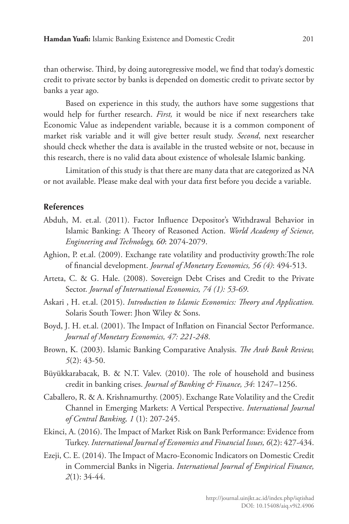than otherwise. Third, by doing autoregressive model, we find that today's domestic credit to private sector by banks is depended on domestic credit to private sector by banks a year ago.

Based on experience in this study, the authors have some suggestions that would help for further research. *First,* it would be nice if next researchers take Economic Value as independent variable, because it is a common component of market risk variable and it will give better result study. *Second*, next researcher should check whether the data is available in the trusted website or not, because in this research, there is no valid data about existence of wholesale Islamic banking.

Limitation of this study is that there are many data that are categorized as NA or not available. Please make deal with your data first before you decide a variable.

#### **References**

- Abduh, M. et.al. (2011). Factor Influence Depositor's Withdrawal Behavior in Islamic Banking: A Theory of Reasoned Action. *World Academy of Science, Engineering and Technology, 60*: 2074-2079.
- Aghion, P. et.al. (2009). Exchange rate volatility and productivity growth:The role of financial development. *Journal of Monetary Economics, 56 (4)*: 494-513.
- Arteta, C. & G. Hale. (2008). Sovereign Debt Crises and Credit to the Private Sector. *Journal of International Economics, 74 (1): 53-69*.
- Askari , H. et.al. (2015). *Introduction to Islamic Economics: Theory and Application.* Solaris South Tower: Jhon Wiley & Sons.
- Boyd, J. H. et.al. (2001). The Impact of Inflation on Financial Sector Performance. *Journal of Monetary Economics, 47: 221-248*.
- Brown, K. (2003). Islamic Banking Comparative Analysis. *The Arab Bank Review, 5*(2): 43-50.
- Büyükkarabacak, B. & N.T. Valev. (2010). The role of household and business credit in banking crises. *Journal of Banking & Finance, 34*: 1247–1256.
- Caballero, R. & A. Krishnamurthy. (2005). Exchange Rate Volatility and the Credit Channel in Emerging Markets: A Vertical Perspective. *International Journal of Central Banking, 1* (1): 207-245.
- Ekinci, A. (2016). The Impact of Market Risk on Bank Performance: Evidence from Turkey. *International Journal of Economics and Financial Issues, 6*(2): 427-434.
- Ezeji, C. E. (2014). The Impact of Macro-Economic Indicators on Domestic Credit in Commercial Banks in Nigeria. *International Journal of Empirical Finance, 2*(1): 34-44.